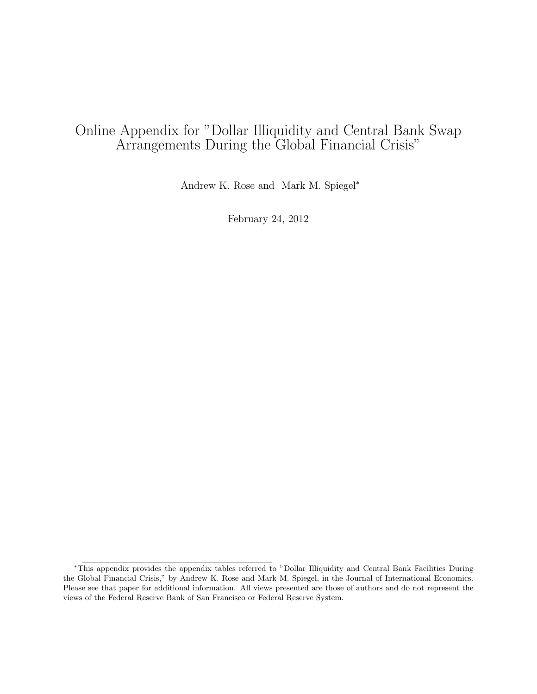## Online Appendix for "Dollar Illiquidity and Central Bank Swap Arrangements During the Global Financial Crisis"

Andrew K. Rose and Mark M. Spiegel<sup>∗</sup>

February 24, 2012

<sup>∗</sup>This appendix provides the appendix tables referred to "Dollar Illiquidity and Central Bank Facilities During the Global Financial Crisis," by Andrew K. Rose and Mark M. Spiegel, in the Journal of International Economics. Please see that paper for additional information. All views presented are those of authors and do not represent the views of the Federal Reserve Bank of San Francisco or Federal Reserve System.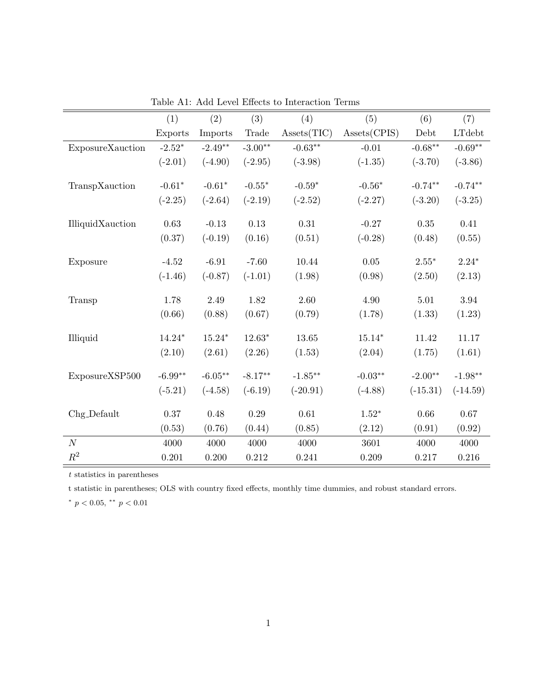|                  | (1)       | (2)        | (3)       | (4)                             | (5)          | (6)        | (7)            |
|------------------|-----------|------------|-----------|---------------------------------|--------------|------------|----------------|
|                  | Exports   | Imports    | Trade     | Assets(TIC)                     | Assets(CPIS) | Debt       | <b>LT</b> debt |
| ExposureXauction | $-2.52*$  | $-2.49**$  | $-3.00**$ | $-0.63**$                       | $-0.01$      | $-0.68**$  | $-0.69**$      |
|                  | $(-2.01)$ | $(-4.90)$  | $(-2.95)$ | $(-3.98)$                       | $(-1.35)$    | $(-3.70)$  | $(-3.86)$      |
| TranspXauction   | $-0.61*$  | $-0.61*$   | $-0.55*$  | $-0.59*$                        | $-0.56*$     | $-0.74**$  | $-0.74**$      |
|                  | $(-2.25)$ | $(-2.64)$  | $(-2.19)$ | $(-2.52)$                       | $(-2.27)$    | $(-3.20)$  | $(-3.25)$      |
| IlliquidXauction | 0.63      | $-0.13$    | 0.13      | 0.31                            | $-0.27$      | $0.35\,$   | 0.41           |
|                  | (0.37)    | $(-0.19)$  | (0.16)    | (0.51)                          | $(-0.28)$    | (0.48)     | (0.55)         |
| Exposure         | $-4.52$   | $-6.91$    | $-7.60$   | 10.44                           | 0.05         | $2.55*$    | $2.24*$        |
|                  | $(-1.46)$ | $(-0.87)$  | $(-1.01)$ | (1.98)                          | (0.98)       | (2.50)     | (2.13)         |
| Transp           | 1.78      | 2.49       | 1.82      | 2.60                            | 4.90         | 5.01       | 3.94           |
|                  | (0.66)    | (0.88)     | (0.67)    | (0.79)                          | (1.78)       | (1.33)     | (1.23)         |
| Illiquid         | $14.24*$  | $15.24*$   | $12.63*$  | 13.65                           | $15.14*$     | 11.42      | 11.17          |
|                  | (2.10)    | (2.61)     | (2.26)    | (1.53)                          | (2.04)       | (1.75)     | (1.61)         |
| ExposureXSP500   | $-6.99**$ | $-6.05***$ | $-8.17**$ | $\textnormal{-}1.85^{\ast\ast}$ | $-0.03**$    | $-2.00**$  | $-1.98**$      |
|                  | $(-5.21)$ | $(-4.58)$  | $(-6.19)$ | $(-20.91)$                      | $(-4.88)$    | $(-15.31)$ | $(-14.59)$     |
| Chg_Default      | 0.37      | 0.48       | 0.29      | $\,0.61\,$                      | $1.52*$      | 0.66       | $0.67\,$       |
|                  | (0.53)    | (0.76)     | (0.44)    | (0.85)                          | (2.12)       | (0.91)     | (0.92)         |
| $\cal N$         | 4000      | 4000       | 4000      | 4000                            | 3601         | 4000       | 4000           |
| $R^2$            | 0.201     | 0.200      | 0.212     | 0.241                           | 0.209        | 0.217      | 0.216          |

Table A1: Add Level Effects to Interaction Terms

t statistic in parentheses; OLS with country fixed effects, monthly time dummies, and robust standard errors.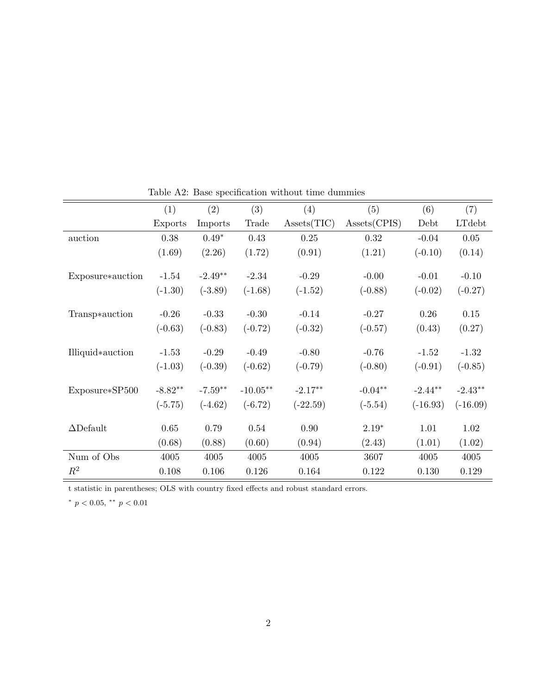|                  | (1)       | (2)       | (3)        | (4)         | (5)          | (6)        | (7)        |
|------------------|-----------|-----------|------------|-------------|--------------|------------|------------|
|                  | Exports   | Imports   | Trade      | Assets(TIC) | Assets(CPIS) | Debt       | LTdebt     |
| auction          | 0.38      | $0.49*$   | 0.43       | 0.25        | 0.32         | $-0.04$    | $0.05\,$   |
|                  | (1.69)    | (2.26)    | (1.72)     | (0.91)      | (1.21)       | $(-0.10)$  | (0.14)     |
|                  |           |           |            |             |              |            |            |
| Exposure*auction | $-1.54$   | $-2.49**$ | $-2.34$    | $-0.29$     | $-0.00$      | $-0.01$    | $-0.10$    |
|                  | $(-1.30)$ | $(-3.89)$ | $(-1.68)$  | $(-1.52)$   | $(-0.88)$    | $(-0.02)$  | $(-0.27)$  |
| Transp*auction   | $-0.26$   | $-0.33$   | $-0.30$    | $-0.14$     | $-0.27$      | $0.26\,$   | 0.15       |
|                  |           |           |            |             |              |            |            |
|                  | $(-0.63)$ | $(-0.83)$ | $(-0.72)$  | $(-0.32)$   | $(-0.57)$    | (0.43)     | (0.27)     |
| Illiquid*auction | $-1.53$   | $-0.29$   | $-0.49$    | $-0.80$     | $-0.76$      | $-1.52$    | $-1.32$    |
|                  | $(-1.03)$ | $(-0.39)$ | $(-0.62)$  | $(-0.79)$   | $(-0.80)$    | $(-0.91)$  | $(-0.85)$  |
|                  |           |           |            |             |              |            |            |
| Exposure*SP500   | $-8.82**$ | $-7.59**$ | $-10.05**$ | $-2.17**$   | $-0.04**$    | $-2.44**$  | $-2.43**$  |
|                  | $(-5.75)$ | $(-4.62)$ | $(-6.72)$  | $(-22.59)$  | $(-5.54)$    | $(-16.93)$ | $(-16.09)$ |
| $\Delta$ Default | 0.65      | 0.79      | 0.54       | 0.90        | $2.19*$      | 1.01       | 1.02       |
|                  |           |           |            |             |              |            |            |
|                  | (0.68)    | (0.88)    | (0.60)     | (0.94)      | (2.43)       | (1.01)     | (1.02)     |
| Num of Obs       | 4005      | 4005      | 4005       | 4005        | 3607         | 4005       | 4005       |
| $R^2$            | 0.108     | 0.106     | 0.126      | 0.164       | 0.122        | 0.130      | 0.129      |

Table A2: Base specification without time dummies

t statistic in parentheses; OLS with country fixed effects and robust standard errors.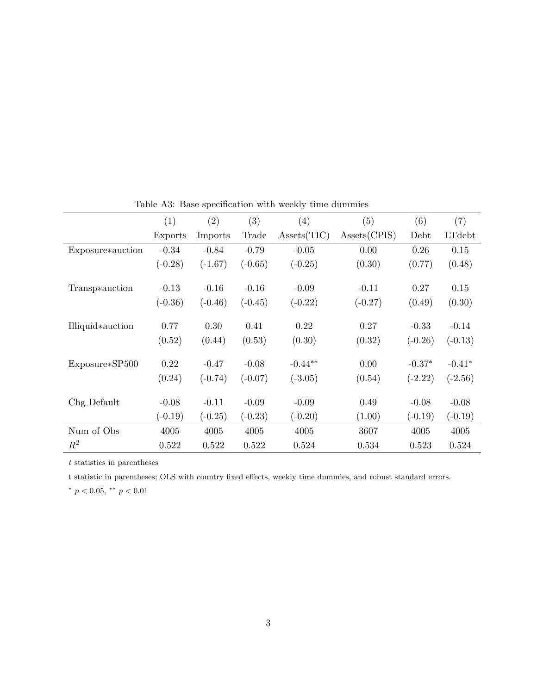|                  | (1)       | (2)       | (3)       | (4)         | (5)          | (6)       | (7)       |
|------------------|-----------|-----------|-----------|-------------|--------------|-----------|-----------|
|                  | Exports   | Imports   | Trade     | Assets(TIC) | Assets(CPIS) | Debt      | LTdebt    |
| Exposure*auction | $-0.34$   | $-0.84$   | $-0.79$   | $-0.05$     | 0.00         | 0.26      | 0.15      |
|                  | $(-0.28)$ | $(-1.67)$ | $(-0.65)$ | $(-0.25)$   | (0.30)       | (0.77)    | (0.48)    |
|                  |           |           |           |             |              |           |           |
| Transp*auction   | $-0.13$   | $-0.16$   | $-0.16$   | $-0.09$     | $-0.11$      | 0.27      | 0.15      |
|                  | $(-0.36)$ | $(-0.46)$ | $(-0.45)$ | $(-0.22)$   | $(-0.27)$    | (0.49)    | (0.30)    |
|                  |           |           |           |             |              |           |           |
| Illiquid*auction | 0.77      | 0.30      | 0.41      | 0.22        | 0.27         | $-0.33$   | $-0.14$   |
|                  | (0.52)    | (0.44)    | (0.53)    | (0.30)      | (0.32)       | $(-0.26)$ | $(-0.13)$ |
| Exposure*SP500   | 0.22      | $-0.47$   | $-0.08$   | $-0.44**$   | 0.00         | $-0.37*$  | $-0.41*$  |
|                  |           |           |           |             |              |           |           |
|                  | (0.24)    | $(-0.74)$ | $(-0.07)$ | $(-3.05)$   | (0.54)       | $(-2.22)$ | $(-2.56)$ |
| $Chg-Default$    | $-0.08$   | $-0.11$   | $-0.09$   | $-0.09$     | 0.49         | $-0.08$   | $-0.08$   |
|                  | $(-0.19)$ | $(-0.25)$ | $(-0.23)$ | $(-0.20)$   | (1.00)       | $(-0.19)$ | $(-0.19)$ |
| Num of Obs       | 4005      | 4005      | 4005      | 4005        | 3607         | 4005      | 4005      |
| $R^2$            | 0.522     | 0.522     | 0.522     | 0.524       | 0.534        | 0.523     | 0.524     |

Table A3: Base specification with weekly time dummies

t statistic in parentheses; OLS with country fixed effects, weekly time dummies, and robust standard errors.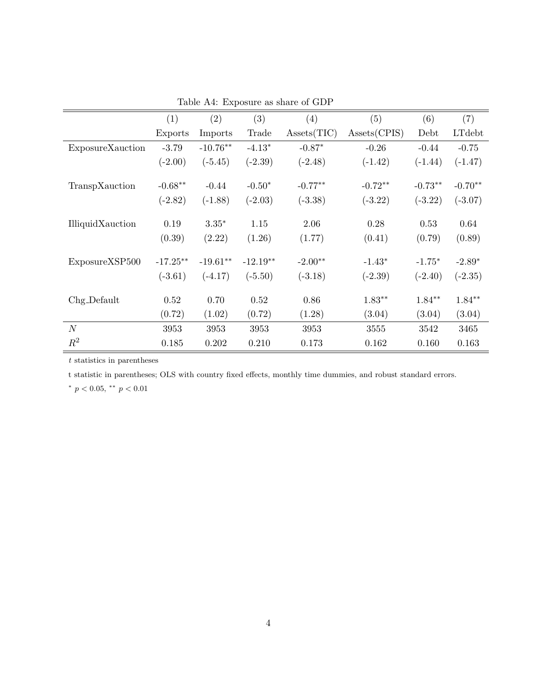|                  | (1)         | (2)        | (3)        | (4)         | (5)          | (6)       | (7)       |
|------------------|-------------|------------|------------|-------------|--------------|-----------|-----------|
|                  | Exports     | Imports    | Trade      | Assets(TIC) | Assets(CPIS) | Debt      | LTdebt    |
| ExposureXauction | $-3.79$     | $-10.76**$ | $-4.13*$   | $-0.87*$    | $-0.26$      | $-0.44$   | $-0.75$   |
|                  | $(-2.00)$   | $(-5.45)$  | $(-2.39)$  | $(-2.48)$   | $(-1.42)$    | $(-1.44)$ | $(-1.47)$ |
|                  |             |            |            |             |              |           |           |
| TranspXauction   | $-0.68**$   | $-0.44$    | $-0.50*$   | $-0.77**$   | $-0.72**$    | $-0.73**$ | $-0.70**$ |
|                  | $(-2.82)$   | $(-1.88)$  | $(-2.03)$  | $(-3.38)$   | $(-3.22)$    | $(-3.22)$ | $(-3.07)$ |
|                  |             |            |            |             |              |           |           |
| IlliquidXauction | 0.19        | $3.35*$    | 1.15       | 2.06        | 0.28         | 0.53      | 0.64      |
|                  | (0.39)      | (2.22)     | (1.26)     | (1.77)      | (0.41)       | (0.79)    | (0.89)    |
|                  |             |            |            |             |              |           |           |
| ExposureXSP500   | $-17.25***$ | $-19.61**$ | $-12.19**$ | $-2.00**$   | $-1.43*$     | $-1.75*$  | $-2.89*$  |
|                  | $(-3.61)$   | $(-4.17)$  | $(-5.50)$  | $(-3.18)$   | $(-2.39)$    | $(-2.40)$ | $(-2.35)$ |
|                  |             |            |            |             |              |           |           |
| Chg_Default      | 0.52        | 0.70       | 0.52       | 0.86        | $1.83**$     | $1.84**$  | $1.84**$  |
|                  | (0.72)      | (1.02)     | (0.72)     | (1.28)      | (3.04)       | (3.04)    | (3.04)    |
| N                | 3953        | 3953       | 3953       | 3953        | 3555         | 3542      | 3465      |
| $R^2$            | 0.185       | 0.202      | 0.210      | 0.173       | 0.162        | 0.160     | 0.163     |

Table A4: Exposure as share of GDP

t statistic in parentheses; OLS with country fixed effects, monthly time dummies, and robust standard errors.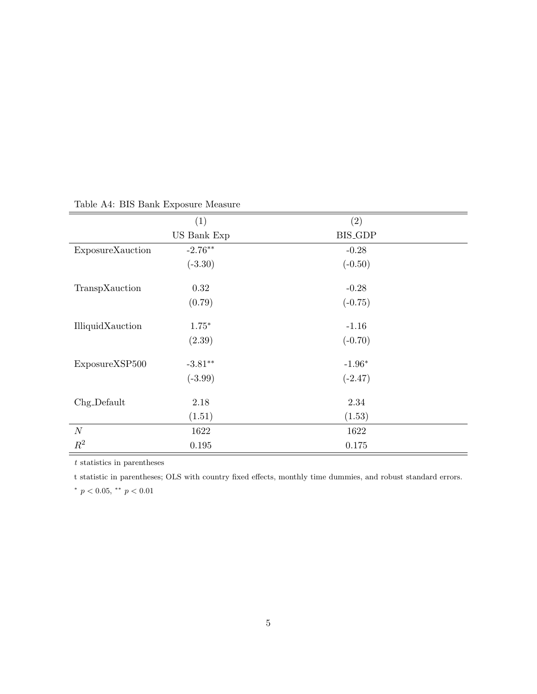|                  | (1)         | (2)            |
|------------------|-------------|----------------|
|                  | US Bank Exp | <b>BIS_GDP</b> |
| ExposureXauction | $-2.76**$   | $-0.28$        |
|                  | $(-3.30)$   | $(-0.50)$      |
| TranspXauction   | 0.32        | $-0.28$        |
|                  | (0.79)      | $(-0.75)$      |
| IlliquidXauction | $1.75*$     | $-1.16$        |
|                  | (2.39)      | $(-0.70)$      |
| ExposureXSP500   | $-3.81**$   | $-1.96*$       |
|                  | $(-3.99)$   | $(-2.47)$      |
| Chg_Default      | 2.18        | 2.34           |
|                  | (1.51)      | (1.53)         |
| $\cal N$         | 1622        | 1622           |
| $R^2$            | 0.195       | 0.175          |

## Table A4: BIS Bank Exposure Measure

 $\boldsymbol{t}$  statistics in parentheses

t statistic in parentheses; OLS with country fixed effects, monthly time dummies, and robust standard errors.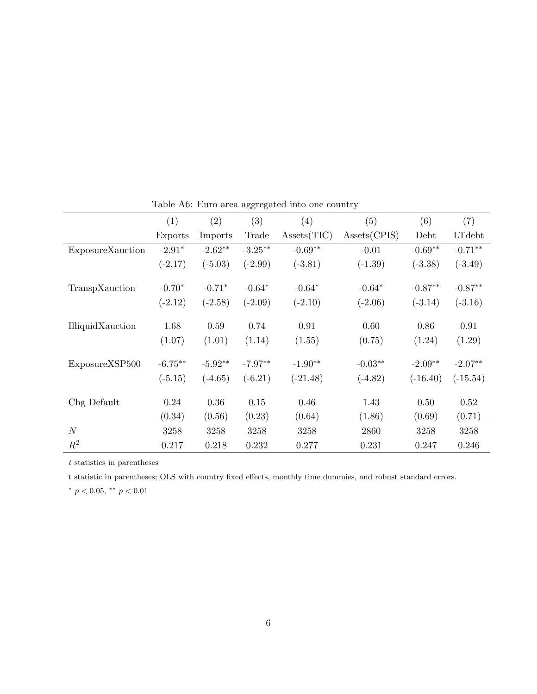|                  | (1)       | (2)       | (3)        | (4)         | (5)          | (6)        | (7)        |
|------------------|-----------|-----------|------------|-------------|--------------|------------|------------|
|                  | Exports   | Imports   | Trade      | Assets(TIC) | Assets(CPIS) | Debt       | LTdebt     |
| ExposureXauction | $-2.91*$  | $-2.62**$ | $-3.25***$ | $-0.69**$   | $-0.01$      | $-0.69**$  | $-0.71**$  |
|                  | $(-2.17)$ | $(-5.03)$ | $(-2.99)$  | $(-3.81)$   | $(-1.39)$    | $(-3.38)$  | $(-3.49)$  |
| TranspXauction   | $-0.70*$  | $-0.71*$  | $-0.64*$   | $-0.64*$    | $-0.64*$     | $-0.87**$  | $-0.87**$  |
|                  | $(-2.12)$ | $(-2.58)$ | $(-2.09)$  | $(-2.10)$   | $(-2.06)$    | $(-3.14)$  | $(-3.16)$  |
| IlliquidXauction | 1.68      | 0.59      | 0.74       | 0.91        | 0.60         | 0.86       | 0.91       |
|                  | (1.07)    | (1.01)    | (1.14)     | (1.55)      | (0.75)       | (1.24)     | (1.29)     |
| ExposureXSP500   | $-6.75**$ | $-5.92**$ | $-7.97**$  | $-1.90**$   | $-0.03**$    | $-2.09**$  | $-2.07**$  |
|                  | $(-5.15)$ | $(-4.65)$ | $(-6.21)$  | $(-21.48)$  | $(-4.82)$    | $(-16.40)$ | $(-15.54)$ |
| $Chg-Default$    | 0.24      | 0.36      | 0.15       | 0.46        | 1.43         | 0.50       | 0.52       |
|                  | (0.34)    | (0.56)    | (0.23)     | (0.64)      | (1.86)       | (0.69)     | (0.71)     |
| N                | 3258      | 3258      | 3258       | 3258        | 2860         | 3258       | 3258       |
| $R^2$            | 0.217     | 0.218     | 0.232      | 0.277       | 0.231        | 0.247      | 0.246      |

Table A6: Euro area aggregated into one country

t statistic in parentheses; OLS with country fixed effects, monthly time dummies, and robust standard errors.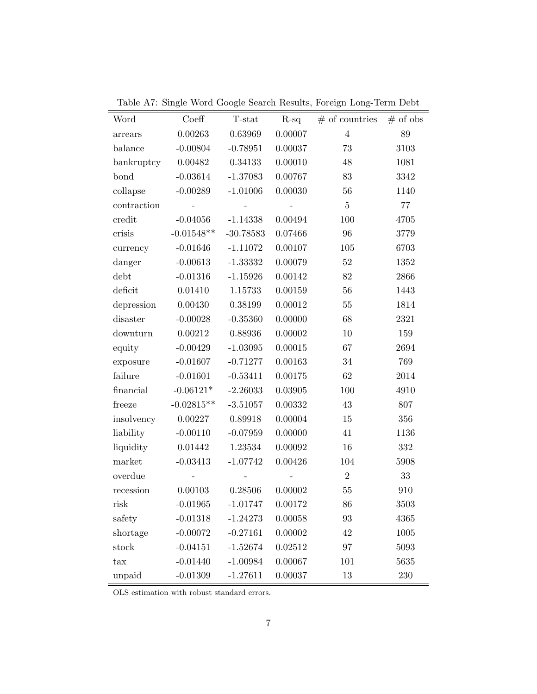| Word        | Coeff                    | T-stat      | $R-sq$            | $#$ of countries | $#$ of obs |
|-------------|--------------------------|-------------|-------------------|------------------|------------|
| arrears     | 0.00263                  | 0.63969     | 0.00007           | $\overline{4}$   | $89\,$     |
| balance     | $-0.00804$               | $-0.78951$  | 0.00037           | 73               | 3103       |
| bankruptcy  | 0.00482                  | 0.34133     | 0.00010           | 48               | 1081       |
| bond        | $-0.03614$               | $-1.37083$  | 0.00767           | 83               | 3342       |
| collapse    | $-0.00289$               | $-1.01006$  | 0.00030           | 56               | 1140       |
| contraction | $\sim$ $-$               | $\Box$      | $\qquad \qquad -$ | $\bf 5$          | 77         |
| credit      | $-0.04056$               | $-1.14338$  | 0.00494           | 100              | 4705       |
| crisis      | $-0.01548**$             | $-30.78583$ | 0.07466           | 96               | 3779       |
| currency    | $-0.01646$               | $-1.11072$  | 0.00107           | $105\,$          | 6703       |
| danger      | $-0.00613$               | $-1.33332$  | 0.00079           | 52               | 1352       |
| debt        | $-0.01316$               | $-1.15926$  | 0.00142           | 82               | 2866       |
| deficit     | 0.01410                  | 1.15733     | 0.00159           | 56               | 1443       |
| depression  | 0.00430                  | 0.38199     | 0.00012           | $55\,$           | 1814       |
| disaster    | $-0.00028$               | $-0.35360$  | 0.00000           | 68               | 2321       |
| downturn    | 0.00212                  | 0.88936     | 0.00002           | $10\,$           | 159        |
| equity      | $-0.00429$               | $-1.03095$  | 0.00015           | 67               | 2694       |
| exposure    | $-0.01607$               | $-0.71277$  | 0.00163           | 34               | 769        |
| failure     | $-0.01601$               | $-0.53411$  | 0.00175           | 62               | 2014       |
| financial   | $-0.06121*$              | $-2.26033$  | 0.03905           | 100              | 4910       |
| freeze      | $-0.02815**$             | $-3.51057$  | 0.00332           | $43\,$           | 807        |
| insolvency  | 0.00227                  | 0.89918     | 0.00004           | $15\,$           | 356        |
| liability   | $-0.00110$               | $-0.07959$  | 0.00000           | 41               | 1136       |
| liquidity   | 0.01442                  | 1.23534     | 0.00092           | 16               | 332        |
| market      | $-0.03413$               | $-1.07742$  | 0.00426           | 104              | 5908       |
| overdue     | $\overline{\phantom{a}}$ |             |                   | $\overline{2}$   | $33\,$     |
| recession   | 0.00103                  | 0.28506     | 0.00002           | 55               | 910        |
| risk til f  | $-0.01965$               | $-1.01747$  | 0.00172           | 86               | 3503       |
| safety      | $-0.01318$               | $-1.24273$  | 0.00058           | 93               | 4365       |
| shortage    | $-0.00072$               | $-0.27161$  | 0.00002           | 42               | 1005       |
| stock       | $-0.04151$               | $-1.52674$  | 0.02512           | 97               | 5093       |
| tax         | $-0.01440$               | $-1.00984$  | 0.00067           | 101              | 5635       |
| unpaid      | $-0.01309$               | $-1.27611$  | 0.00037           | 13               | 230        |

Table A7: Single Word Google Search Results, Foreign Long-Term Debt

OLS estimation with robust standard errors.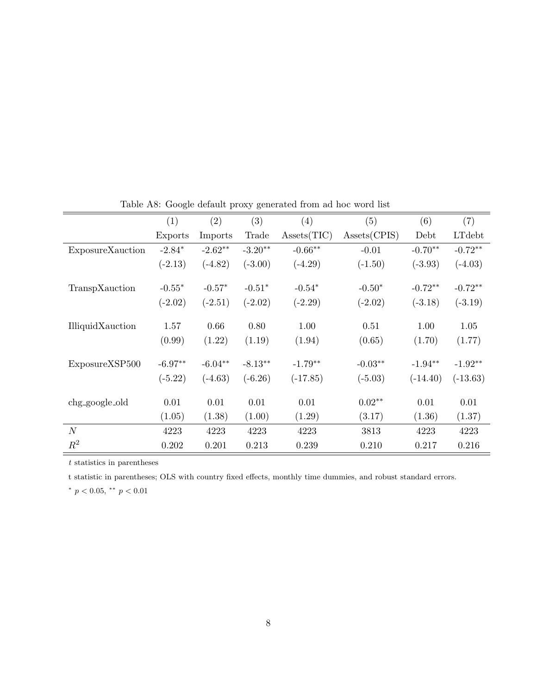|                  | (1)       | (2)       | (3)       | (4)         | (5)          | (6)        | (7)        |
|------------------|-----------|-----------|-----------|-------------|--------------|------------|------------|
|                  | Exports   | Imports   | Trade     | Assets(TIC) | Assets(CPIS) | Debt       | LTdebt     |
| ExposureXauction | $-2.84*$  | $-2.62**$ | $-3.20**$ | $-0.66**$   | $-0.01$      | $-0.70**$  | $-0.72**$  |
|                  | $(-2.13)$ | $(-4.82)$ | $(-3.00)$ | $(-4.29)$   | $(-1.50)$    | $(-3.93)$  | $(-4.03)$  |
| TranspXauction   | $-0.55*$  | $-0.57*$  | $-0.51*$  | $-0.54*$    | $-0.50*$     | $-0.72**$  | $-0.72**$  |
|                  | $(-2.02)$ | $(-2.51)$ | $(-2.02)$ | $(-2.29)$   | $(-2.02)$    | $(-3.18)$  | $(-3.19)$  |
| IlliquidXauction | 1.57      | 0.66      | 0.80      | 1.00        | 0.51         | 1.00       | 1.05       |
|                  | (0.99)    | (1.22)    | (1.19)    | (1.94)      | (0.65)       | (1.70)     | (1.77)     |
| ExposureXSP500   | $-6.97**$ | $-6.04**$ | $-8.13**$ | $-1.79**$   | $-0.03**$    | $-1.94**$  | $-1.92**$  |
|                  | $(-5.22)$ | $(-4.63)$ | $(-6.26)$ | $(-17.85)$  | $(-5.03)$    | $(-14.40)$ | $(-13.63)$ |
| chg_google_old   | 0.01      | 0.01      | 0.01      | 0.01        | $0.02**$     | 0.01       | 0.01       |
|                  | (1.05)    | (1.38)    | (1.00)    | (1.29)      | (3.17)       | (1.36)     | (1.37)     |
| N                | 4223      | 4223      | 4223      | 4223        | 3813         | 4223       | 4223       |
| $R^2$            | 0.202     | 0.201     | 0.213     | 0.239       | 0.210        | 0.217      | 0.216      |

Table A8: Google default proxy generated from ad hoc word list

t statistic in parentheses; OLS with country fixed effects, monthly time dummies, and robust standard errors.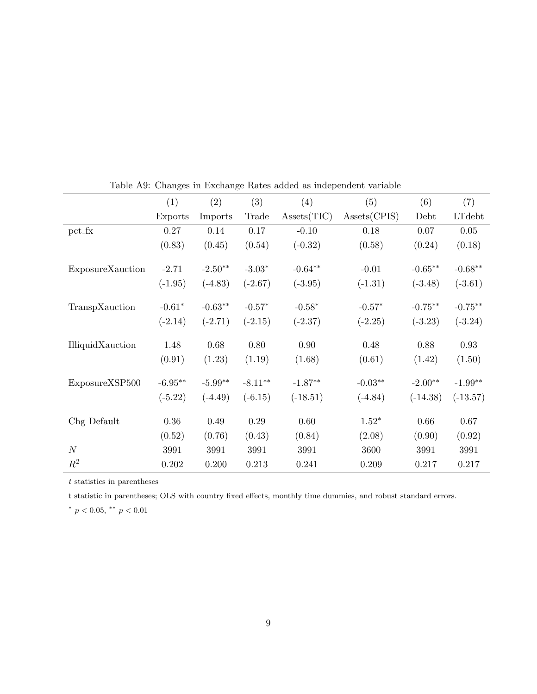|                  | (1)       | (2)       | (3)        | (4)         | (5)          | (6)        | (7)        |
|------------------|-----------|-----------|------------|-------------|--------------|------------|------------|
|                  | Exports   | Imports   | Trade      | Assets(TIC) | Assets(CPIS) | Debt       | LTdebt     |
| $\n  pot_L x\n$  | 0.27      | 0.14      | 0.17       | $-0.10$     | 0.18         | 0.07       | 0.05       |
|                  | (0.83)    | (0.45)    | (0.54)     | $(-0.32)$   | (0.58)       | (0.24)     | (0.18)     |
| ExposureXauction | $-2.71$   | $-2.50**$ | $-3.03*$   | $-0.64**$   | $-0.01$      | $-0.65**$  | $-0.68**$  |
|                  | $(-1.95)$ | $(-4.83)$ | $(-2.67)$  | $(-3.95)$   | $(-1.31)$    | $(-3.48)$  | $(-3.61)$  |
| TranspXauction   | $-0.61*$  | $-0.63**$ | $-0.57*$   | $-0.58*$    | $-0.57*$     | $-0.75**$  | $-0.75***$ |
|                  | $(-2.14)$ | $(-2.71)$ | $(-2.15)$  | $(-2.37)$   | $(-2.25)$    | $(-3.23)$  | $(-3.24)$  |
| IlliquidXauction | 1.48      | 0.68      | 0.80       | 0.90        | 0.48         | 0.88       | 0.93       |
|                  | (0.91)    | (1.23)    | (1.19)     | (1.68)      | (0.61)       | (1.42)     | (1.50)     |
| ExposureXSP500   | $-6.95**$ | $-5.99**$ | $-8.11***$ | $-1.87**$   | $-0.03**$    | $-2.00**$  | $-1.99**$  |
|                  | $(-5.22)$ | $(-4.49)$ | $(-6.15)$  | $(-18.51)$  | $(-4.84)$    | $(-14.38)$ | $(-13.57)$ |
| $Chgl$ Default   | 0.36      | 0.49      | 0.29       | 0.60        | $1.52*$      | 0.66       | 0.67       |
|                  | (0.52)    | (0.76)    | (0.43)     | (0.84)      | (2.08)       | (0.90)     | (0.92)     |
| N                | 3991      | 3991      | 3991       | 3991        | 3600         | 3991       | 3991       |
| $R^2$            | 0.202     | 0.200     | 0.213      | 0.241       | 0.209        | 0.217      | 0.217      |

Table A9: Changes in Exchange Rates added as independent variable

t statistic in parentheses; OLS with country fixed effects, monthly time dummies, and robust standard errors.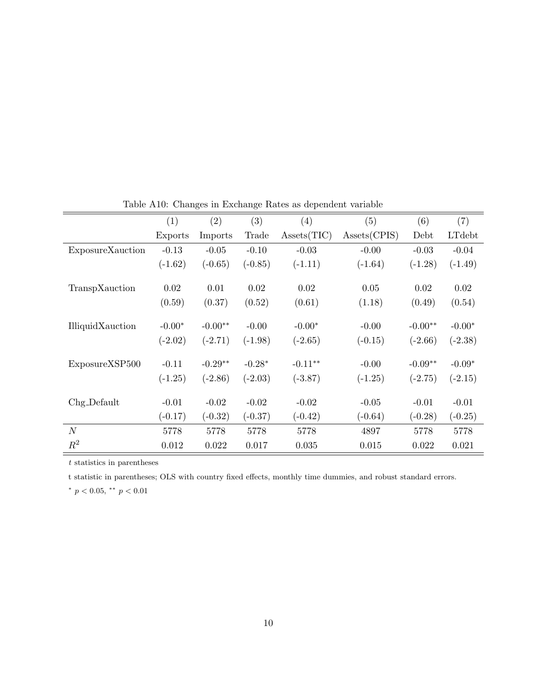|                  | (1)       | (2)       | (3)       | (4)         | (5)          | (6)       | (7)       |
|------------------|-----------|-----------|-----------|-------------|--------------|-----------|-----------|
|                  | Exports   | Imports   | Trade     | Assets(TIC) | Assets(CPIS) | Debt      | LTdebt    |
| ExposureXauction | $-0.13$   | $-0.05$   | $-0.10$   | $-0.03$     | $-0.00$      | $-0.03$   | $-0.04$   |
|                  | $(-1.62)$ | $(-0.65)$ | $(-0.85)$ | $(-1.11)$   | $(-1.64)$    | $(-1.28)$ | $(-1.49)$ |
|                  |           |           |           |             |              |           |           |
| TranspXauction   | 0.02      | 0.01      | 0.02      | 0.02        | 0.05         | 0.02      | 0.02      |
|                  | (0.59)    | (0.37)    | (0.52)    | (0.61)      | (1.18)       | (0.49)    | (0.54)    |
|                  |           |           |           |             |              |           |           |
| IlliquidXauction | $-0.00*$  | $-0.00**$ | $-0.00$   | $-0.00*$    | $-0.00$      | $-0.00**$ | $-0.00*$  |
|                  | $(-2.02)$ | $(-2.71)$ | $(-1.98)$ | $(-2.65)$   | $(-0.15)$    | $(-2.66)$ | $(-2.38)$ |
|                  |           | $-0.29**$ | $-0.28*$  | $-0.11**$   | $-0.00$      | $-0.09**$ | $-0.09*$  |
| ExposureXSP500   | $-0.11$   |           |           |             |              |           |           |
|                  | $(-1.25)$ | $(-2.86)$ | $(-2.03)$ | $(-3.87)$   | $(-1.25)$    | $(-2.75)$ | $(-2.15)$ |
| Chg_Default      | $-0.01$   | $-0.02$   | $-0.02$   | $-0.02$     | $-0.05$      | $-0.01$   | $-0.01$   |
|                  | $(-0.17)$ | $(-0.32)$ | $(-0.37)$ | $(-0.42)$   | $(-0.64)$    | $(-0.28)$ | $(-0.25)$ |
|                  |           |           |           |             |              |           |           |
| N                | 5778      | 5778      | 5778      | 5778        | 4897         | 5778      | 5778      |
| $R^2$            | 0.012     | 0.022     | 0.017     | 0.035       | 0.015        | 0.022     | 0.021     |

Table A10: Changes in Exchange Rates as dependent variable

t statistic in parentheses; OLS with country fixed effects, monthly time dummies, and robust standard errors.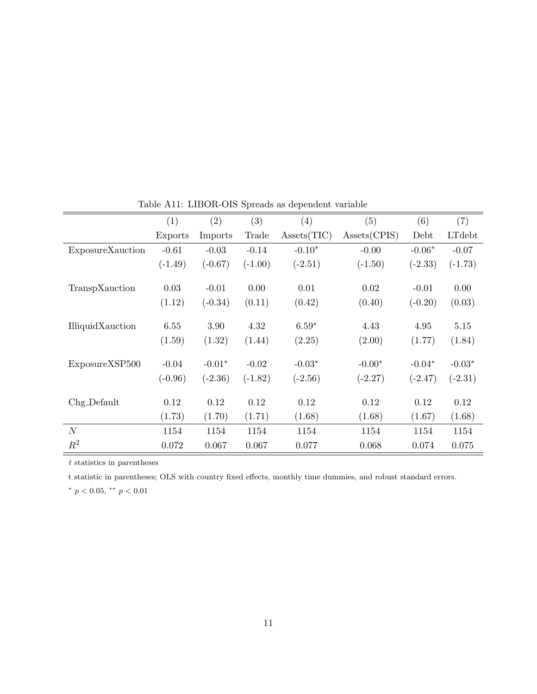|                  | (1)       | (2)       | (3)       | (4)         | (5)          | (6)       | (7)       |
|------------------|-----------|-----------|-----------|-------------|--------------|-----------|-----------|
|                  | Exports   | Imports   | Trade     | Assets(TIC) | Assets(CPIS) | Debt      | LTdebt    |
| ExposureXauction | $-0.61$   | $-0.03$   | $-0.14$   | $-0.10*$    | $-0.00$      | $-0.06*$  | $-0.07$   |
|                  | $(-1.49)$ | $(-0.67)$ | $(-1.00)$ | $(-2.51)$   | $(-1.50)$    | $(-2.33)$ | $(-1.73)$ |
|                  |           |           |           |             |              |           |           |
| TranspXauction   | 0.03      | $-0.01$   | 0.00      | 0.01        | 0.02         | $-0.01$   | 0.00      |
|                  | (1.12)    | $(-0.34)$ | (0.11)    | (0.42)      | (0.40)       | $(-0.20)$ | (0.03)    |
|                  |           |           |           |             |              |           |           |
| IlliquidXauction | 6.55      | 3.90      | 4.32      | $6.59*$     | 4.43         | 4.95      | 5.15      |
|                  | (1.59)    | (1.32)    | (1.44)    | (2.25)      | (2.00)       | (1.77)    | (1.84)    |
|                  |           |           |           |             |              |           |           |
| ExposureXSP500   | $-0.04$   | $-0.01*$  | $-0.02$   | $-0.03*$    | $-0.00*$     | $-0.04*$  | $-0.03*$  |
|                  | $(-0.96)$ | $(-2.36)$ | $(-1.82)$ | $(-2.56)$   | $(-2.27)$    | $(-2.47)$ | $(-2.31)$ |
| $Chg-Default$    | 0.12      | 0.12      | 0.12      | 0.12        | 0.12         | 0.12      | 0.12      |
|                  |           |           |           |             |              |           |           |
|                  | (1.73)    | (1.70)    | (1.71)    | (1.68)      | (1.68)       | (1.67)    | (1.68)    |
| N                | 1154      | 1154      | 1154      | 1154        | 1154         | 1154      | 1154      |
| $R^2$            | 0.072     | 0.067     | 0.067     | 0.077       | 0.068        | 0.074     | 0.075     |

Table A11: LIBOR-OIS Spreads as dependent variable

t statistic in parentheses; OLS with country fixed effects, monthly time dummies, and robust standard errors.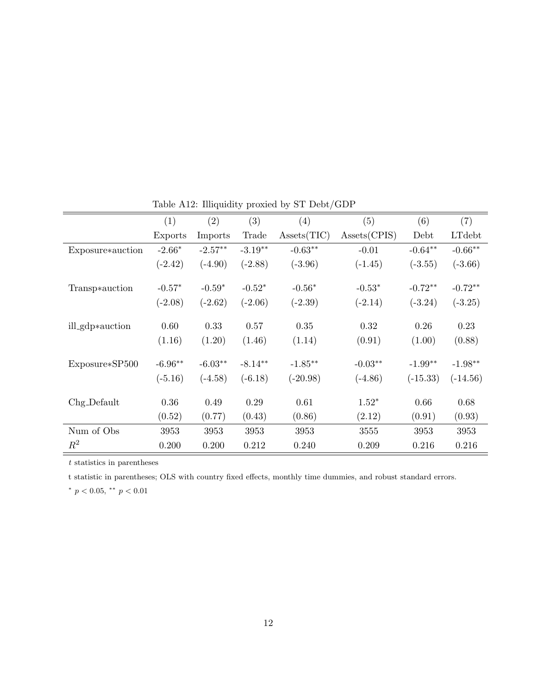|                  | (1)       | (2)       | (3)       | (4)         | (5)          | (6)        | (7)        |
|------------------|-----------|-----------|-----------|-------------|--------------|------------|------------|
|                  | Exports   | Imports   | Trade     | Assets(TIC) | Assets(CPIS) | Debt       | LTdebt     |
| Exposure*auction | $-2.66*$  | $-2.57**$ | $-3.19**$ | $-0.63**$   | $-0.01$      | $-0.64**$  | $-0.66**$  |
|                  | $(-2.42)$ | $(-4.90)$ | $(-2.88)$ | $(-3.96)$   | $(-1.45)$    | $(-3.55)$  | $(-3.66)$  |
| Transp*auction   | $-0.57*$  | $-0.59*$  | $-0.52*$  | $-0.56*$    | $-0.53*$     | $-0.72**$  | $-0.72**$  |
|                  | $(-2.08)$ | $(-2.62)$ | $(-2.06)$ | $(-2.39)$   | $(-2.14)$    | $(-3.24)$  | $(-3.25)$  |
| ill_gdp*auction  | 0.60      | 0.33      | 0.57      | 0.35        | 0.32         | 0.26       | 0.23       |
|                  | (1.16)    | (1.20)    | (1.46)    | (1.14)      | (0.91)       | (1.00)     | (0.88)     |
| Exposure*SP500   | $-6.96**$ | $-6.03**$ | $-8.14**$ | $-1.85***$  | $-0.03**$    | $-1.99**$  | $-1.98**$  |
|                  | $(-5.16)$ | $(-4.58)$ | $(-6.18)$ | $(-20.98)$  | $(-4.86)$    | $(-15.33)$ | $(-14.56)$ |
| $Chg-Default$    | 0.36      | 0.49      | 0.29      | 0.61        | $1.52*$      | 0.66       | 0.68       |
|                  | (0.52)    | (0.77)    | (0.43)    | (0.86)      | (2.12)       | (0.91)     | (0.93)     |
| Num of Obs       | 3953      | 3953      | 3953      | 3953        | 3555         | 3953       | 3953       |
| $R^2$            | 0.200     | 0.200     | 0.212     | 0.240       | 0.209        | 0.216      | 0.216      |

Table A12: Illiquidity proxied by ST Debt/GDP

t statistic in parentheses; OLS with country fixed effects, monthly time dummies, and robust standard errors.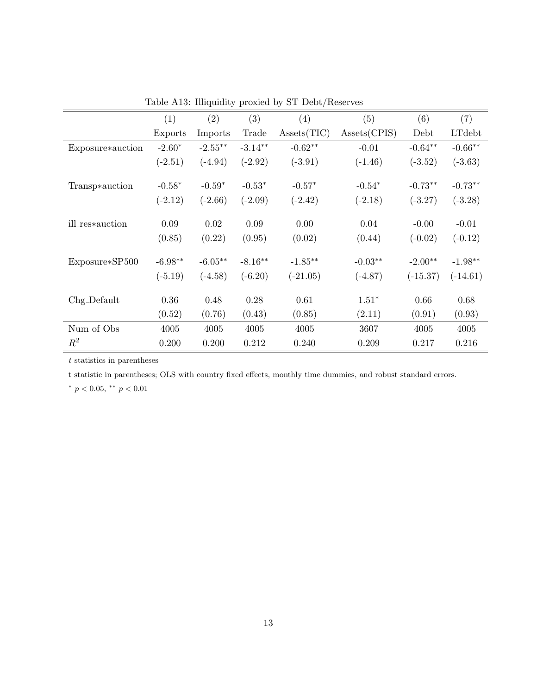|                  | (1)       | (2)        | (3)       | (4)         | (5)          | (6)        | (7)        |
|------------------|-----------|------------|-----------|-------------|--------------|------------|------------|
|                  | Exports   | Imports    | Trade     | Assets(TIC) | Assets(CPIS) | Debt       | LTdebt     |
| Exposure*auction | $-2.60*$  | $-2.55***$ | $-3.14**$ | $-0.62**$   | $-0.01$      | $-0.64**$  | $-0.66**$  |
|                  | $(-2.51)$ | $(-4.94)$  | $(-2.92)$ | $(-3.91)$   | $(-1.46)$    | $(-3.52)$  | $(-3.63)$  |
|                  | $-0.58*$  | $-0.59*$   | $-0.53*$  | $-0.57*$    | $-0.54*$     | $-0.73**$  | $-0.73**$  |
| Transp*auction   |           |            |           |             |              |            |            |
|                  | $(-2.12)$ | $(-2.66)$  | $(-2.09)$ | $(-2.42)$   | $(-2.18)$    | $(-3.27)$  | $(-3.28)$  |
| ill_res*auction  | 0.09      | 0.02       | 0.09      | 0.00        | 0.04         | $-0.00$    | $-0.01$    |
|                  | (0.85)    | (0.22)     | (0.95)    | (0.02)      | (0.44)       | $(-0.02)$  | $(-0.12)$  |
| Exposure*SP500   | $-6.98**$ | $-6.05***$ | $-8.16**$ | $-1.85**$   | $-0.03**$    | $-2.00**$  | $-1.98**$  |
|                  | $(-5.19)$ | $(-4.58)$  | $(-6.20)$ | $(-21.05)$  | $(-4.87)$    | $(-15.37)$ | $(-14.61)$ |
|                  |           |            |           |             |              |            |            |
| Chg_Default      | 0.36      | 0.48       | 0.28      | 0.61        | $1.51*$      | 0.66       | 0.68       |
|                  | (0.52)    | (0.76)     | (0.43)    | (0.85)      | (2.11)       | (0.91)     | (0.93)     |
| Num of Obs       | 4005      | 4005       | 4005      | 4005        | 3607         | 4005       | 4005       |
| $R^2$            | 0.200     | 0.200      | 0.212     | 0.240       | 0.209        | 0.217      | 0.216      |

Table A13: Illiquidity proxied by ST Debt/Reserves

t statistic in parentheses; OLS with country fixed effects, monthly time dummies, and robust standard errors.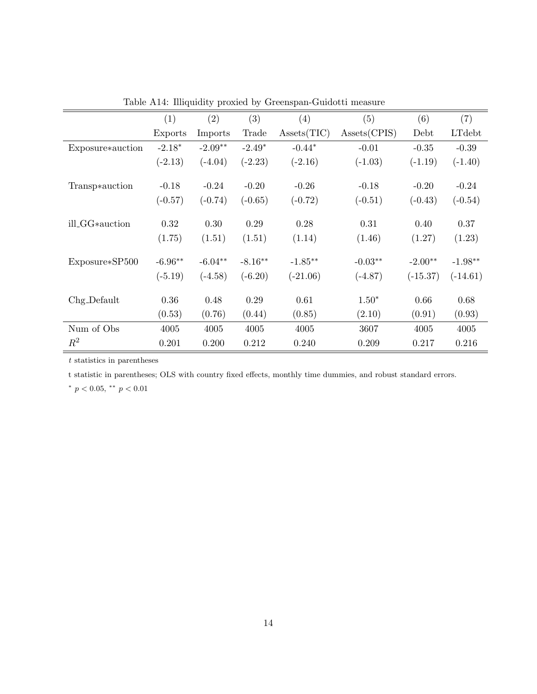|                  | (1)       | (2)       | (3)       | (4)         | (5)          | (6)        | (7)        |
|------------------|-----------|-----------|-----------|-------------|--------------|------------|------------|
|                  | Exports   | Imports   | Trade     | Assets(TIC) | Assets(CPIS) | Debt       | LTdebt     |
| Exposure*auction | $-2.18*$  | $-2.09**$ | $-2.49*$  | $-0.44*$    | $-0.01$      | $-0.35$    | $-0.39$    |
|                  | $(-2.13)$ | $(-4.04)$ | $(-2.23)$ | $(-2.16)$   | $(-1.03)$    | $(-1.19)$  | $(-1.40)$  |
|                  |           |           |           |             |              |            |            |
| Transp*auction   | $-0.18$   | $-0.24$   | $-0.20$   | $-0.26$     | $-0.18$      | $-0.20$    | $-0.24$    |
|                  | $(-0.57)$ | $(-0.74)$ | $(-0.65)$ | $(-0.72)$   | $(-0.51)$    | $(-0.43)$  | $(-0.54)$  |
| ill_GG*auction   | 0.32      | 0.30      | 0.29      | 0.28        | 0.31         | 0.40       | 0.37       |
|                  |           |           |           |             |              |            |            |
|                  | (1.75)    | (1.51)    | (1.51)    | (1.14)      | (1.46)       | (1.27)     | (1.23)     |
| Exposure*SP500   | $-6.96**$ | $-6.04**$ | $-8.16**$ | $-1.85**$   | $-0.03**$    | $-2.00**$  | $-1.98**$  |
|                  | $(-5.19)$ | $(-4.58)$ | $(-6.20)$ | $(-21.06)$  | $(-4.87)$    | $(-15.37)$ | $(-14.61)$ |
|                  |           |           |           |             |              |            |            |
| Chg_Default      | 0.36      | 0.48      | 0.29      | 0.61        | $1.50*$      | 0.66       | 0.68       |
|                  | (0.53)    | (0.76)    | (0.44)    | (0.85)      | (2.10)       | (0.91)     | (0.93)     |
| Num of Obs       | 4005      | 4005      | 4005      | 4005        | 3607         | 4005       | 4005       |
| $R^2$            | 0.201     | 0.200     | 0.212     | 0.240       | 0.209        | 0.217      | 0.216      |

Table A14: Illiquidity proxied by Greenspan-Guidotti measure

t statistic in parentheses; OLS with country fixed effects, monthly time dummies, and robust standard errors.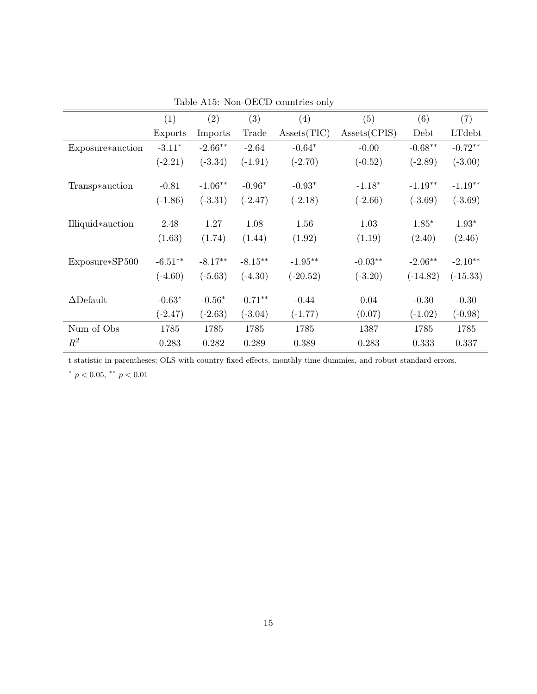|                  | (1)       | (2)       | (3)        | (4)         | (5)          | (6)        | (7)        |
|------------------|-----------|-----------|------------|-------------|--------------|------------|------------|
|                  | Exports   | Imports   | Trade      | Assets(TIC) | Assets(CPIS) | Debt       | LTdebt     |
| Exposure*auction | $-3.11*$  | $-2.66**$ | $-2.64$    | $-0.64*$    | $-0.00$      | $-0.68**$  | $-0.72**$  |
|                  | $(-2.21)$ | $(-3.34)$ | $(-1.91)$  | $(-2.70)$   | $(-0.52)$    | $(-2.89)$  | $(-3.00)$  |
|                  |           |           |            |             |              |            |            |
| Transp*auction   | $-0.81$   | $-1.06**$ | $-0.96*$   | $-0.93*$    | $-1.18*$     | $-1.19**$  | $-1.19**$  |
|                  | $(-1.86)$ | $(-3.31)$ | $(-2.47)$  | $(-2.18)$   | $(-2.66)$    | $(-3.69)$  | $(-3.69)$  |
|                  |           |           |            |             |              |            |            |
| Illiquid*auction | 2.48      | 1.27      | 1.08       | 1.56        | 1.03         | $1.85*$    | $1.93*$    |
|                  | (1.63)    | (1.74)    | (1.44)     | (1.92)      | (1.19)       | (2.40)     | (2.46)     |
|                  |           |           |            |             |              |            |            |
| Exposure*SP500   | $-6.51**$ | $-8.17**$ | $-8.15***$ | $-1.95***$  | $-0.03**$    | $-2.06**$  | $-2.10**$  |
|                  | $(-4.60)$ | $(-5.63)$ | $(-4.30)$  | $(-20.52)$  | $(-3.20)$    | $(-14.82)$ | $(-15.33)$ |
|                  |           |           |            |             |              |            |            |
| $\Delta$ Default | $-0.63*$  | $-0.56*$  | $-0.71**$  | $-0.44$     | 0.04         | $-0.30$    | $-0.30$    |
|                  | $(-2.47)$ | $(-2.63)$ | $(-3.04)$  | $(-1.77)$   | (0.07)       | $(-1.02)$  | $(-0.98)$  |
| Num of Obs       | 1785      | 1785      | 1785       | 1785        | 1387         | 1785       | 1785       |
| $\mathbb{R}^2$   | 0.283     | 0.282     | 0.289      | 0.389       | 0.283        | 0.333      | 0.337      |
|                  |           |           |            |             |              |            |            |

Table A15: Non-OECD countries only

t statistic in parentheses; OLS with country fixed effects, monthly time dummies, and robust standard errors.